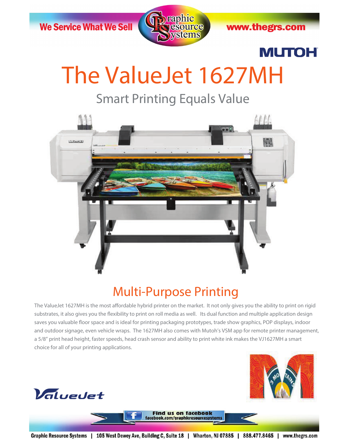

www.thegrs.com

## **MUTOH**

# **The ValueJet 1627MH**

## **Smart Printing Equals Value**



## **Multi-Purpose Printing**

The ValueJet 1627MH is the most affordable hybrid printer on the market. It not only gives you the ability to print on rigid substrates, it also gives you the flexibility to print on roll media as well. Its dual function and multiple application design saves you valuable floor space and is ideal for printing packaging prototypes, trade show graphics, POP displays, indoor and outdoor signage, even vehicle wraps. The 1627MH also comes with Mutoh's VSM app for remote printer management, a 5/8" print head height, faster speeds, head crash sensor and ability to print white ink makes the VJ1627MH a smart choice for all of your printing applications.





**Find us on facebook** facebook.com/graphicresourcesystems